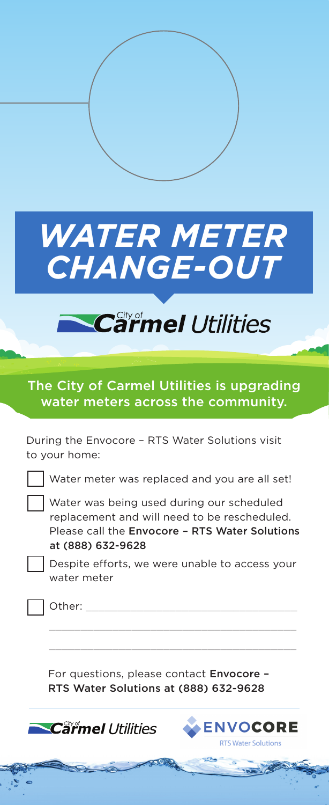

## Carmel Utilities

## The City of Carmel Utilities is upgrading water meters across the community.

During the Envocore – RTS Water Solutions visit to your home:

Water meter was replaced and you are all set!

 Water was being used during our scheduled replacement and will need to be rescheduled. Please call the Envocore – RTS Water Solutions at (888) 632-9628

 Despite efforts, we were unable to access your water meter

Other:

For questions, please contact Envocore -RTS Water Solutions at (888) 632-9628

 $\mathcal{L}_\text{max}$  and  $\mathcal{L}_\text{max}$  and  $\mathcal{L}_\text{max}$  and  $\mathcal{L}_\text{max}$  and  $\mathcal{L}_\text{max}$  $\mathcal{L}_\text{max}$  and  $\mathcal{L}_\text{max}$  and  $\mathcal{L}_\text{max}$  and  $\mathcal{L}_\text{max}$  and  $\mathcal{L}_\text{max}$ 

**Carmel Utilities**